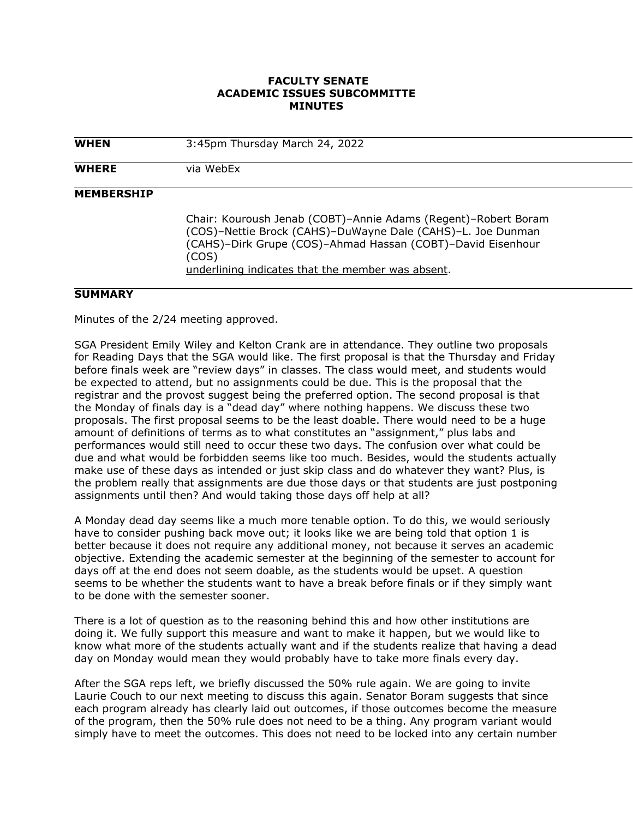## **FACULTY SENATE ACADEMIC ISSUES SUBCOMMITTE MINUTES**

| <b>WHEN</b>       | 3:45pm Thursday March 24, 2022                                                                                                                                                                                                                             |
|-------------------|------------------------------------------------------------------------------------------------------------------------------------------------------------------------------------------------------------------------------------------------------------|
| <b>WHERE</b>      | via WebEx                                                                                                                                                                                                                                                  |
| <b>MEMBERSHIP</b> | Chair: Kouroush Jenab (COBT)-Annie Adams (Regent)-Robert Boram<br>(COS)-Nettie Brock (CAHS)-DuWayne Dale (CAHS)-L. Joe Dunman<br>(CAHS)-Dirk Grupe (COS)-Ahmad Hassan (COBT)-David Eisenhour<br>(COS)<br>underlining indicates that the member was absent. |

## **SUMMARY**

Minutes of the 2/24 meeting approved.

SGA President Emily Wiley and Kelton Crank are in attendance. They outline two proposals for Reading Days that the SGA would like. The first proposal is that the Thursday and Friday before finals week are "review days" in classes. The class would meet, and students would be expected to attend, but no assignments could be due. This is the proposal that the registrar and the provost suggest being the preferred option. The second proposal is that the Monday of finals day is a "dead day" where nothing happens. We discuss these two proposals. The first proposal seems to be the least doable. There would need to be a huge amount of definitions of terms as to what constitutes an "assignment," plus labs and performances would still need to occur these two days. The confusion over what could be due and what would be forbidden seems like too much. Besides, would the students actually make use of these days as intended or just skip class and do whatever they want? Plus, is the problem really that assignments are due those days or that students are just postponing assignments until then? And would taking those days off help at all?

A Monday dead day seems like a much more tenable option. To do this, we would seriously have to consider pushing back move out; it looks like we are being told that option 1 is better because it does not require any additional money, not because it serves an academic objective. Extending the academic semester at the beginning of the semester to account for days off at the end does not seem doable, as the students would be upset. A question seems to be whether the students want to have a break before finals or if they simply want to be done with the semester sooner.

There is a lot of question as to the reasoning behind this and how other institutions are doing it. We fully support this measure and want to make it happen, but we would like to know what more of the students actually want and if the students realize that having a dead day on Monday would mean they would probably have to take more finals every day.

After the SGA reps left, we briefly discussed the 50% rule again. We are going to invite Laurie Couch to our next meeting to discuss this again. Senator Boram suggests that since each program already has clearly laid out outcomes, if those outcomes become the measure of the program, then the 50% rule does not need to be a thing. Any program variant would simply have to meet the outcomes. This does not need to be locked into any certain number